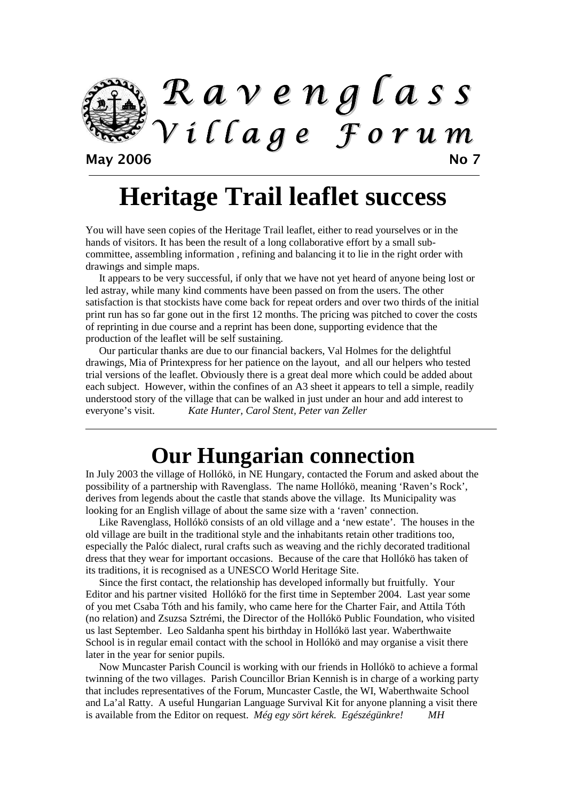

**Heritage Trail leaflet success** 

You will have seen copies of the Heritage Trail leaflet, either to read yourselves or in the hands of visitors. It has been the result of a long collaborative effort by a small subcommittee, assembling information , refining and balancing it to lie in the right order with drawings and simple maps.

It appears to be very successful, if only that we have not yet heard of anyone being lost or led astray, while many kind comments have been passed on from the users. The other satisfaction is that stockists have come back for repeat orders and over two thirds of the initial print run has so far gone out in the first 12 months. The pricing was pitched to cover the costs of reprinting in due course and a reprint has been done, supporting evidence that the production of the leaflet will be self sustaining.

Our particular thanks are due to our financial backers, Val Holmes for the delightful drawings, Mia of Printexpress for her patience on the layout, and all our helpers who tested trial versions of the leaflet. Obviously there is a great deal more which could be added about each subject. However, within the confines of an A3 sheet it appears to tell a simple, readily understood story of the village that can be walked in just under an hour and add interest to everyone's visit. *Kate Hunter, Carol Stent, Peter van Zeller* 

# **Our Hungarian connection**

In July 2003 the village of Hollókö, in NE Hungary, contacted the Forum and asked about the possibility of a partnership with Ravenglass. The name Hollókö, meaning 'Raven's Rock', derives from legends about the castle that stands above the village. Its Municipality was looking for an English village of about the same size with a 'raven' connection.

Like Ravenglass, Hollókö consists of an old village and a 'new estate'. The houses in the old village are built in the traditional style and the inhabitants retain other traditions too, especially the Palóc dialect, rural crafts such as weaving and the richly decorated traditional dress that they wear for important occasions. Because of the care that Hollókö has taken of its traditions, it is recognised as a UNESCO World Heritage Site.

Since the first contact, the relationship has developed informally but fruitfully. Your Editor and his partner visited Hollókö for the first time in September 2004. Last year some of you met Csaba Tóth and his family, who came here for the Charter Fair, and Attila Tóth (no relation) and Zsuzsa Sztrémi, the Director of the Hollókö Public Foundation, who visited us last September. Leo Saldanha spent his birthday in Hollókö last year. Waberthwaite School is in regular email contact with the school in Hollókö and may organise a visit there later in the year for senior pupils.

Now Muncaster Parish Council is working with our friends in Hollókö to achieve a formal twinning of the two villages. Parish Councillor Brian Kennish is in charge of a working party that includes representatives of the Forum, Muncaster Castle, the WI, Waberthwaite School and La'al Ratty. A useful Hungarian Language Survival Kit for anyone planning a visit there is available from the Editor on request. *Még egy sört kérek. Egészégünkre! MH*